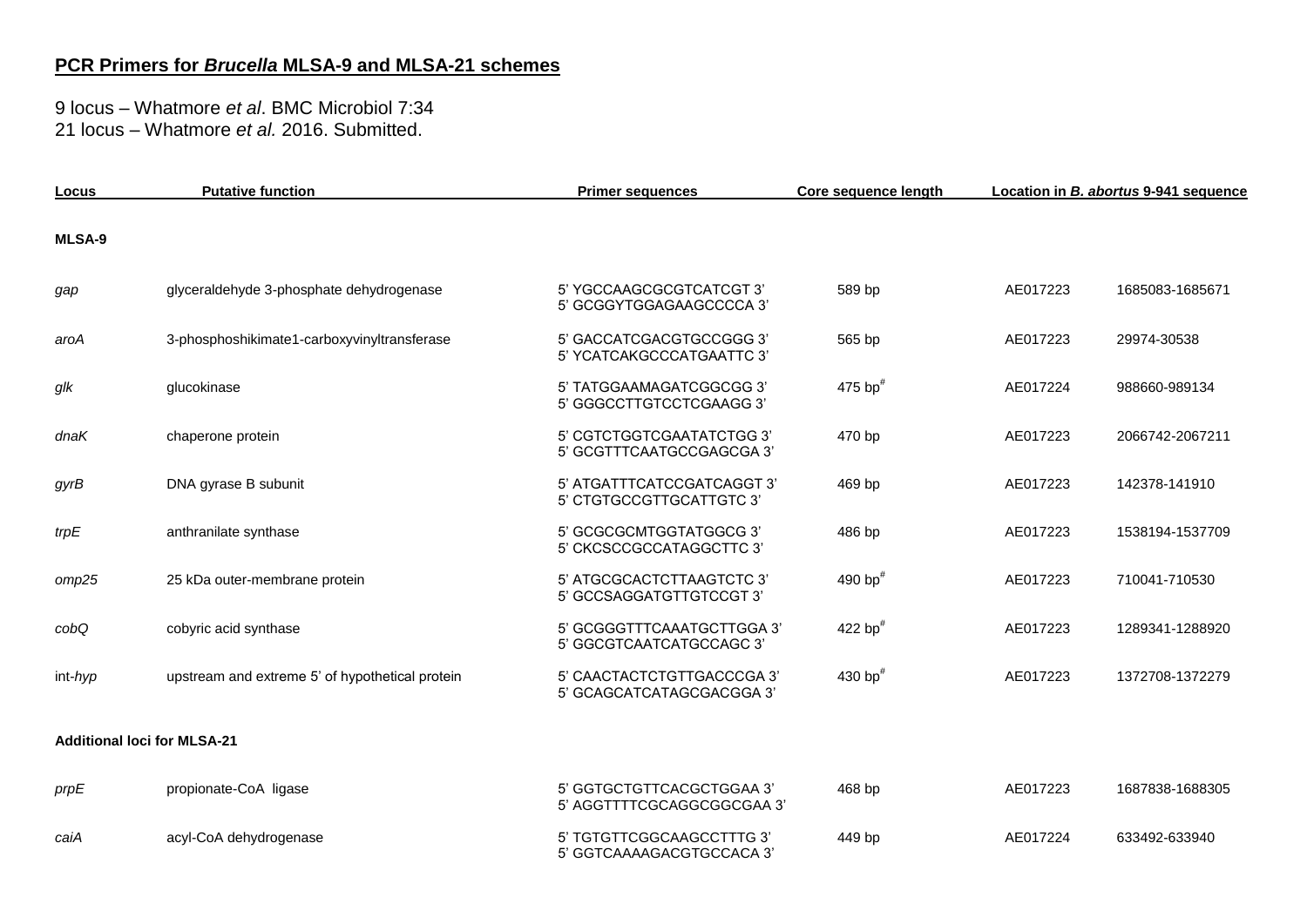## **PCR Primers for** *Brucella* **MLSA-9 and MLSA-21 schemes**

9 locus – Whatmore *et al*. BMC Microbiol 7:34 21 locus – Whatmore *et al.* 2016. Submitted.

| Locus   | <b>Putative function</b>                        | <b>Primer sequences</b>                                 | Core sequence length |          | Location in B. abortus 9-941 sequence |
|---------|-------------------------------------------------|---------------------------------------------------------|----------------------|----------|---------------------------------------|
| MLSA-9  |                                                 |                                                         |                      |          |                                       |
| gap     | glyceraldehyde 3-phosphate dehydrogenase        | 5' YGCCAAGCGCGTCATCGT 3'<br>5' GCGGYTGGAGAAGCCCCA 3'    | 589 bp               | AE017223 | 1685083-1685671                       |
| aroA    | 3-phosphoshikimate1-carboxyvinyltransferase     | 5' GACCATCGACGTGCCGGG 3'<br>5' YCATCAKGCCCATGAATTC 3'   | 565 bp               | AE017223 | 29974-30538                           |
| glk     | glucokinase                                     | 5' TATGGAAMAGATCGGCGG 3'<br>5' GGGCCTTGTCCTCGAAGG 3'    | 475 bp $#$           | AE017224 | 988660-989134                         |
| dnaK    | chaperone protein                               | 5' CGTCTGGTCGAATATCTGG 3'<br>5' GCGTTTCAATGCCGAGCGA 3'  | 470 bp               | AE017223 | 2066742-2067211                       |
| gyrB    | DNA gyrase B subunit                            | 5' ATGATTTCATCCGATCAGGT 3'<br>5' CTGTGCCGTTGCATTGTC 3'  | 469 bp               | AE017223 | 142378-141910                         |
| trpE    | anthranilate synthase                           | 5' GCGCGCMTGGTATGGCG 3'<br>5' CKCSCCGCCATAGGCTTC 3'     | 486 bp               | AE017223 | 1538194-1537709                       |
| omp25   | 25 kDa outer-membrane protein                   | 5' ATGCGCACTCTTAAGTCTC 3'<br>5' GCCSAGGATGTTGTCCGT 3'   | 490 bp $#$           | AE017223 | 710041-710530                         |
| cobQ    | cobyric acid synthase                           | 5' GCGGGTTTCAAATGCTTGGA 3'<br>5' GGCGTCAATCATGCCAGC 3'  | 422 bp $#$           | AE017223 | 1289341-1288920                       |
| int-hyp | upstream and extreme 5' of hypothetical protein | 5' CAACTACTCTGTTGACCCGA 3'<br>5' GCAGCATCATAGCGACGGA 3' | 430 bp $#$           | AE017223 | 1372708-1372279                       |
|         | <b>Additional loci for MLSA-21</b>              |                                                         |                      |          |                                       |
| prpE    | propionate-CoA ligase                           | 5' GGTGCTGTTCACGCTGGAA 3'<br>5' AGGTTTTCGCAGGCGGCGAA 3' | 468 bp               | AE017223 | 1687838-1688305                       |
| caiA    | acyl-CoA dehydrogenase                          | 5' TGTGTTCGGCAAGCCTTTG 3'<br>5' GGTCAAAAGACGTGCCACA 3'  | 449 bp               | AE017224 | 633492-633940                         |